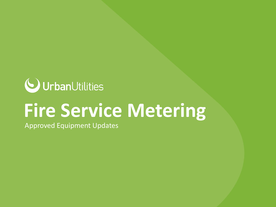

# **Fire Service Metering**

Approved Equipment Updates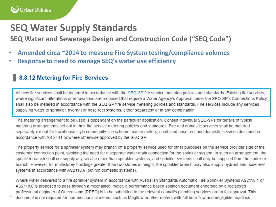### **SEQ Water Supply Standards**

**SEQ Water and Sewerage Design and Construction Code ("SEQ Code")**

- **Amended circa ~2014 to measure Fire System testing/compliance volumes**
- **Response to need to manage SEQ's water use efficiency**

#### 8.8.12 Metering for Fire Services

All new fire services shall be metered in accordance with the SEQ-SP fire service metering policies and standards. Existing fire services, where significant alterations or renovations are proposed that require a Water Agency's Approval under the SEQ-SP's Connections Policy shall also be metered in accordance with the SEQ-SP fire service metering policies and standards. Fire services include any services supplying water to sprinkler, hydrant or hose reel systems, either separately or in any combination.

The metering arrangement to be used is dependent on the particular application. Consult individual SEQ-SPs for details of typical metering arrangements set out in their fire service metering policies and standards. Fire and domestic services shall be metered separately except for townhouse style community title scheme master meters, combined hose reel and domestic services designed in accordance with AS 2441 or where otherwise approved by the SEQ-SP.

The property service for a sprinkler system may branch off a property service used for other purposes on the service provider side of the customer connection point, avoiding the need for a separate water main connection for the sprinkler system. In such an arrangement, the sprinkler branch shall not supply any service other than sprinkler systems, and sprinkler systems shall only be supplied from the sprinkler branch. However, for multistorey buildings greater than two stories in height, the sprinkler branch may also supply hydrant and hose reel systems in accordance with AS2118.6 (but not domestic systems).

Where water delivered to a fire sprinkler system in accordance with Australian Standards Automatic Fire Sprinkler Systems AS2118.1 or AS2118.6 is proposed to pass through a mechanical meter, a performance based solution document endorsed by a registered professional engineer of Queensland (RPEQ) is to be submitted to the relevant council's plumbing services group for approval. This

 $2\degree$  document is not required for non-mechanical meters such as Magflow or other meters with full bore flow and negligible headloss.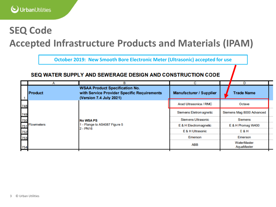## **SEQ Code**

### **Accepted Infrastructure Products and Materials (IPAM)**

**October 2019: New Smooth Bore Electronic Meter (Ultrasonic) accepted for use**

#### SEQ WATER SUPPLY AND SEWERAGE DESIGN AND CONSTRUCTION CODE

|            |                              |                                                                                                                 |                                |                           | D                 |  |
|------------|------------------------------|-----------------------------------------------------------------------------------------------------------------|--------------------------------|---------------------------|-------------------|--|
|            | <b>Product</b>               | <b>WSAA Product Specification No.</b><br>with Service Provider Specific Requirements<br>(Version 7.4 July 2021) | <b>Manufacturer / Supplier</b> |                           | <b>Trade Name</b> |  |
| 748        | 751 Flowmeters<br>752<br>753 | <b>No WSA PS</b><br>- Flange to AS4087 Figure 5<br>$2 - PN16$                                                   | Arad Ultrasonica / RMC         | Octave                    |                   |  |
|            |                              |                                                                                                                 | Siemens Eletromagnetic         | Siemens Mag 8000 Advanced |                   |  |
| 749<br>750 |                              |                                                                                                                 | Siemens Ultrasonic             | Siemens                   |                   |  |
|            |                              |                                                                                                                 | E & H Electromagnetic          | E & H Promag W400         |                   |  |
|            |                              |                                                                                                                 | E & H Ultrasonic               | <b>E&amp;H</b>            |                   |  |
|            |                              |                                                                                                                 | Emerson                        | Emerson                   |                   |  |
| 754        |                              |                                                                                                                 | ABB                            | WaterMaster<br>AquaMaster |                   |  |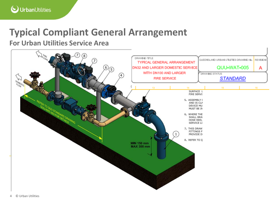## **Typical Compliant General Arrangement**

#### **For Urban Utilities Service Area**

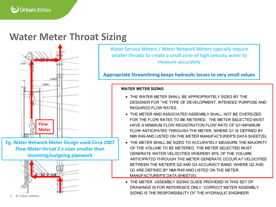### **Water Meter Throat Sizing**



**Eg. Water Network Meter Design used Circa 2007 Flow Meter throat 2 x sizes smaller than incoming/outgoing pipework**



Water Service Meters / Water Network Meters typically require smaller throats to create a small zone of high velocity water to measure accurately

**Appropriate Streamlining keeps hydraulic losses to very small values**

#### **WATER METER SIZING**

- THE WATER METER SHALL BE APPROPRIATELY SIZED BY THE DESIGNER FOR THE TYPE OF DEVELOPMENT, INTENDED PURPOSE AND **REQUIRED FLOW RATES.**
- . THE METER AND ASSOCIATED ASSEMBLY SHALL NOT BE OVERSIZED FOR THE FLOW RATES TO BE METERED. THE METER SELECTED MUST HAVE A MINIMUM FLOW REGISTRATION FLOW RATE OF 01<MINIMUM FLOW ANTICIPATED THROUGH THE METER, WHERE Q1 IS DEFINED BY NMI R49 AND LISTED ON THE METER MANUFACTURER'S DATA SHEET(S).
- . THE METER SHALL BE SIZED TO ACCURATELY MEASURE THE MAJORITY OF THE VOLUME TO BE METERED. THE METER SELECTED MUST GENERATE WATER VELOCITIES WHEREBY 95% OF THE VOLUME ANTICIPATED THROUGH THE METER GENERATE OCCUR AT VELOCITIES BETWEEN THE METER'S Q2 AND Q3 ACCURACY BAND, WHERE Q2 AND Q3 ARE DEFINED BY NMI R49 AND LISTED ON THE METER MANUFACTURER'S DATA SHEET(S).
- . THE METER ASSEMBLY SIZING GUIDE PROVIDED IN THIS SET OF DRAWINGS IS FOR REFERENCE ONLY. CORRECT METER ASSEMBLY SIZING IS THE RESPONSIBILITY OF THE HYDRAULIC ENGINEER.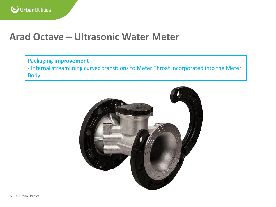### **Arad Octave – Ultrasonic Water Meter**

#### **Packaging improvement -** Internal streamlining curved transitions to Meter Throat incorporated into the Meter Body

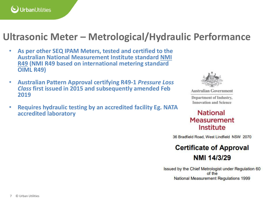

### **Ultrasonic Meter – Metrological/Hydraulic Performance**

- **As per other SEQ IPAM Meters, tested and certified to the Australian National Measurement Institute standard NMI R49 (NMI R49 based on international metering standard OIML R49)**
- **Australian Pattern Approval certifying R49-1** *Pressure Loss Class* **first issued in 2015 and subsequently amended Feb 2019**
- **Requires hydraulic testing by an accredited facility Eg. NATA accredited laboratory**



**Australian Government** Department of Industry, **Innovation and Science** 

#### **National Measurement** Institute

36 Bradfield Road, West Lindfield NSW 2070

#### **Certificate of Approval** NMI 14/3/29

Issued by the Chief Metrologist under Regulation 60 of the National Measurement Regulations 1999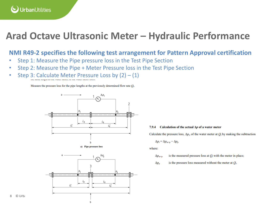

### **Arad Octave Ultrasonic Meter – Hydraulic Performance**

#### **NMI R49-2 specifies the following test arrangement for Pattern Approval certification**

- Step 1: Measure the Pipe pressure loss in the Test Pipe Section
- Step 2: Measure the Pipe + Meter Pressure loss in the Test Pipe Section
- Step 3: Calculate Meter Pressure Loss by  $(2) (1)$

Measure the pressure loss for the pipe lengths at the previously determined flow rate  $Q_t$ .





#### 7.9.4 Calculation of the actual  $\Delta p$  of a water meter

Calculate the pressure loss,  $\Delta p_i$ , of the water meter at  $Q_i$  by making the subtraction

$$
\Delta p_{\rm t} = \Delta p_{\rm m+p} - \Delta p_{\rm p}
$$

where:

- is the measured pressure loss at  $Q_t$  with the meter in place;  $\Delta p_{\rm mtr}$
- is the pressure loss measured without the meter at  $Q_t$ .  $\Delta p_{\rm p}$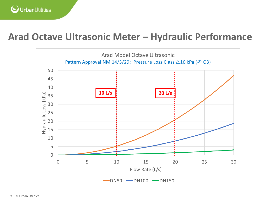

### **Arad Octave Ultrasonic Meter – Hydraulic Performance**